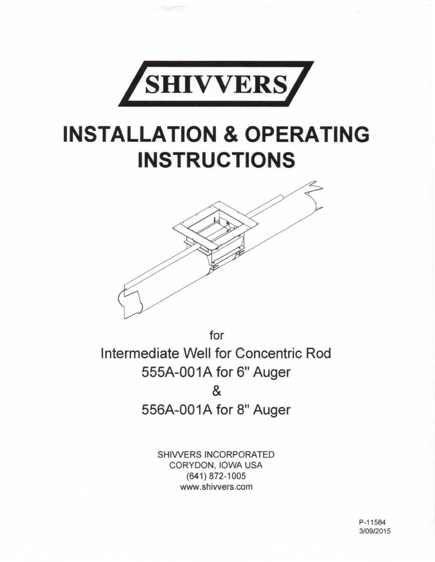

### INSTALLATION & OPERATING INSTRUCTIONS



for Intermediate Well for Concentric Rod 555A-001A for 6" Auger & 556A-001A for 8" Auger

> SHIVVERS INCORPORATED CORYDON, IOWA USA (641) 872-1005 www .shivvers.com

> > P-11584 3/09/2015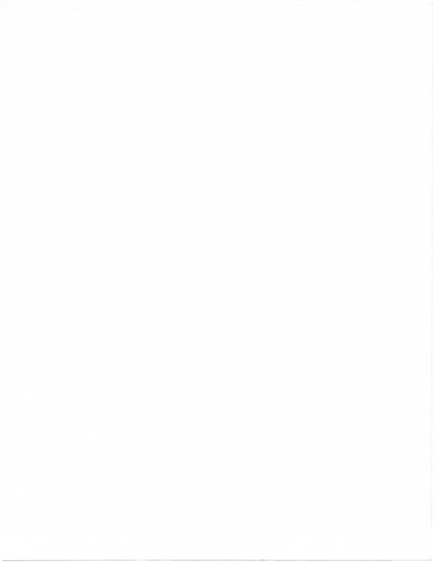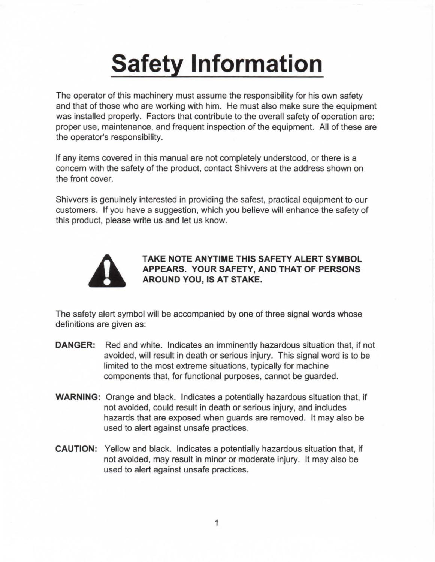# **Safety Information**

The operator of this machinery must assume the responsibility for his own safety and that of those who are working with him. He must also make sure the equipment was installed properly. Factors that contribute to the overall safety of operation are: proper use, maintenance, and frequent inspection of the equipment. All of these are the operator's responsibility.

If any items covered in this manual are not completely understood, or there is a concern with the safety of the product, contact Shivvers at the address shown on the front cover.

Shivvers is genuinely interested in providing the safest, practical equipment to our customers. If you have a suggestion, which you believe will enhance the safety of this product, please write us and let us know.



#### **TAKE NOTE ANYTIME THIS SAFETY ALERT SYMBOL APPEARS. YOUR SAFETY, AND THAT OF PERSONS AROUND YOU, IS AT STAKE.**

The safety alert symbol will be accompanied by one of three signal words whose definitions are given as:

- **DANGER:** Red and white. Indicates an imminently hazardous situation that, if not avoided, will result in death or serious injury. This signal word is to be limited to the most extreme situations, typically for machine components that, for functional purposes, cannot be guarded.
- **WARNING:** Orange and black. Indicates a potentially hazardous situation that, if not avoided, could result in death or serious injury, and includes hazards that are exposed when guards are removed. It may also be used to alert against unsafe practices.
- **CAUTION:** Yellow and black. Indicates a potentially hazardous situation that, if not avoided, may result in minor or moderate injury. It may also be used to alert against unsafe practices.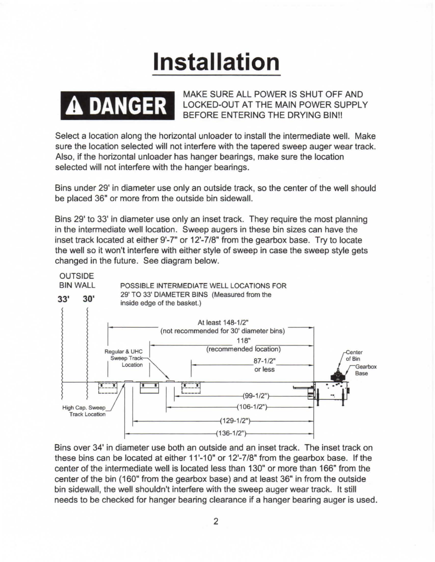## **Installation**



**A DANGER LOCKED-OUT AT THE MAIN POWER SUPPLY** LOCKED-OUT AT THE MAIN POWER SUPPLY BEFORE ENTERING THE DRYING BINI!

Select a location along the horizontal unloader to install the intermediate well. Make sure the location selected will not interfere with the tapered sweep auger wear track. Also, if the horizontal unloader has hanger bearings, make sure the location selected will not interfere with the hanger bearings.

Bins under 29' in diameter use only an outside track, so the center of the well should be placed 36" or more from the outside bin sidewall.

Bins 29' to 33' in diameter use only an inset track. They require the most planning in the intermediate well location. Sweep augers in these bin sizes can have the inset track located at either 9'-7" or 12'-7/8" from the gearbox base. Try to locate the well so it won't interfere with either style of sweep in case the sweep style gets changed in the future. See diagram below.



Bins over 34' in diameter use both an outside and an inset track. The inset track on these bins can be located at either 11'-10" or 12'-7/8" from the gearbox base. If the center of the intermediate well is located less than 130" or more than 166" from the center of the bin ( 160" from the gearbox base) and at least 36" in from the outside bin sidewall, the well shouldn't interfere with the sweep auger wear track. It still needs to be checked for hanger bearing clearance if a hanger bearing auger is used.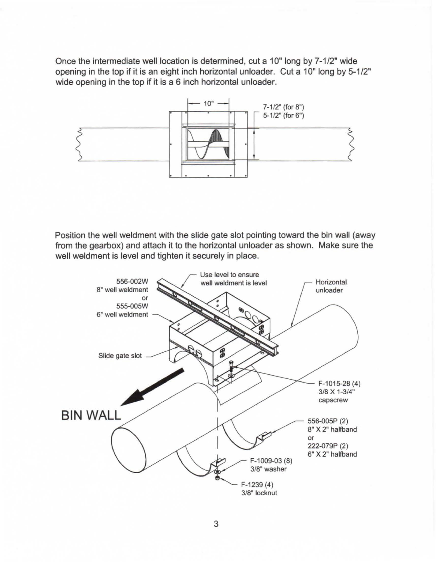Once the intermediate well location is determined, cut a 10" long by 7-1/2" wide opening in the top if it is an eight inch horizontal unloader. Cut a 10" long by 5-1/2" wide opening in the top if it is a 6 inch horizontal unloader.



Position the well weldment with the slide gate slot pointing toward the bin wall (away from the gearbox) and attach it to the horizontal unloader as shown. Make sure the well weldment is level and tighten it securely in place.

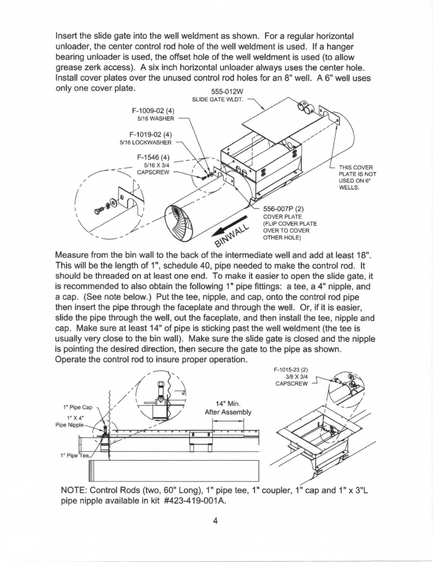Insert the slide gate into the well weldment as shown. For a regular horizontal unloader, the center control rod hole of the well weldment is used. If a hanger bearing unloader is used, the offset hole of the well weldment is used (to allow grease zerk access). A six inch horizontal unloader always uses the center hole. Install cover plates over the unused control rod holes for an 8" well. A 6" well uses only one cover plate. ssss-012W



Measure from the bin wall to the back of the intermediate well and add at least 18". This will be the length of 1", schedule 40, pipe needed to make the control rod. It should be threaded on at least one end. To make it easier to open the slide gate, it is recommended to also obtain the following 1" pipe fittings: a tee, a 4" nipple, and a cap. (See note below.) Put the tee, nipple, and cap, onto the control rod pipe then insert the pipe through the faceplate and through the well. Or, if it is easier, slide the pipe through the well, out the faceplate, and then install the tee, nipple and cap. Make sure at least 14" of pipe is sticking past the well weldment (the tee is usually very close to the bin wall). Make sure the slide gate is closed and the nipple<br>
is pointing the desired direction, then secure the gate to the pipe as shown.<br>
Operate the control rod to insure proper operation.<br> is pointing the desired direction, then secure the gate to the pipe as shown. Operate the control rod to insure proper operation.



NOTE: Control Rods (two, 60" Long), 1" pipe tee, 1" coupler, 1" cap and 1" x 3"L pipe nipple available in kit #423-419-001A.